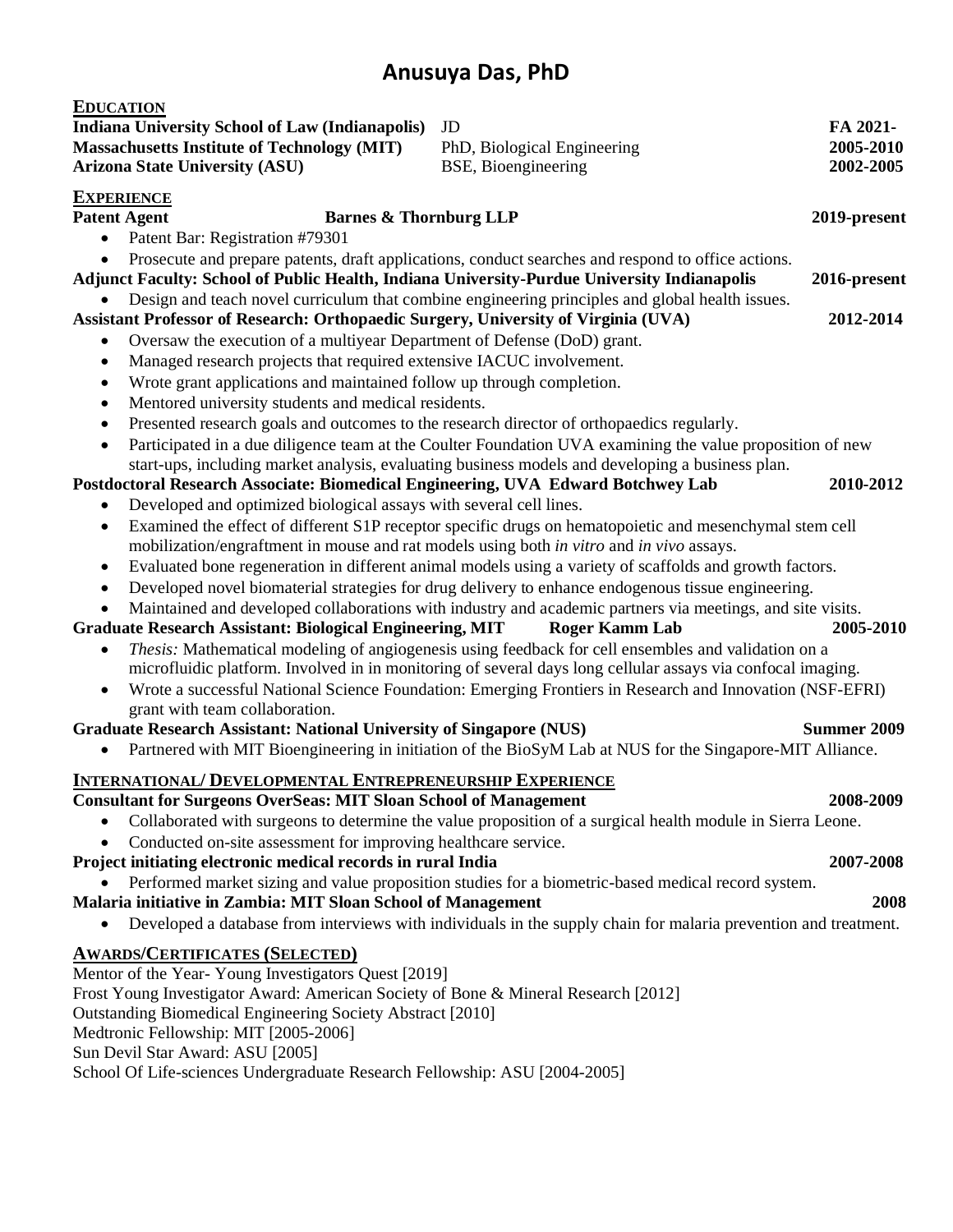| <b>EDUCATION</b>                                                                                                                                                                                   |                                                                                                                 |                    |
|----------------------------------------------------------------------------------------------------------------------------------------------------------------------------------------------------|-----------------------------------------------------------------------------------------------------------------|--------------------|
| <b>Indiana University School of Law (Indianapolis)</b>                                                                                                                                             | JD                                                                                                              | FA 2021-           |
| <b>Massachusetts Institute of Technology (MIT)</b>                                                                                                                                                 | PhD, Biological Engineering                                                                                     | 2005-2010          |
| <b>Arizona State University (ASU)</b>                                                                                                                                                              | BSE, Bioengineering                                                                                             | 2002-2005          |
| <b>EXPERIENCE</b>                                                                                                                                                                                  |                                                                                                                 |                    |
| <b>Barnes &amp; Thornburg LLP</b><br><b>Patent Agent</b>                                                                                                                                           |                                                                                                                 | 2019-present       |
| Patent Bar: Registration #79301                                                                                                                                                                    |                                                                                                                 |                    |
| Prosecute and prepare patents, draft applications, conduct searches and respond to office actions.                                                                                                 |                                                                                                                 |                    |
| Adjunct Faculty: School of Public Health, Indiana University-Purdue University Indianapolis<br>2016-present                                                                                        |                                                                                                                 |                    |
| Design and teach novel curriculum that combine engineering principles and global health issues.<br>Assistant Professor of Research: Orthopaedic Surgery, University of Virginia (UVA)<br>2012-2014 |                                                                                                                 |                    |
| Oversaw the execution of a multiyear Department of Defense (DoD) grant.                                                                                                                            |                                                                                                                 |                    |
| Managed research projects that required extensive IACUC involvement.<br>٠                                                                                                                          |                                                                                                                 |                    |
| Wrote grant applications and maintained follow up through completion.<br>$\bullet$                                                                                                                 |                                                                                                                 |                    |
| Mentored university students and medical residents.<br>$\bullet$                                                                                                                                   |                                                                                                                 |                    |
| Presented research goals and outcomes to the research director of orthopaedics regularly.<br>$\bullet$                                                                                             |                                                                                                                 |                    |
| Participated in a due diligence team at the Coulter Foundation UVA examining the value proposition of new<br>$\bullet$                                                                             |                                                                                                                 |                    |
| start-ups, including market analysis, evaluating business models and developing a business plan.                                                                                                   |                                                                                                                 |                    |
| Postdoctoral Research Associate: Biomedical Engineering, UVA Edward Botchwey Lab                                                                                                                   |                                                                                                                 | 2010-2012          |
| Developed and optimized biological assays with several cell lines.                                                                                                                                 |                                                                                                                 |                    |
| Examined the effect of different S1P receptor specific drugs on hematopoietic and mesenchymal stem cell<br>$\bullet$                                                                               |                                                                                                                 |                    |
| mobilization/engraftment in mouse and rat models using both in vitro and in vivo assays.                                                                                                           |                                                                                                                 |                    |
| Evaluated bone regeneration in different animal models using a variety of scaffolds and growth factors.<br>٠                                                                                       |                                                                                                                 |                    |
| Developed novel biomaterial strategies for drug delivery to enhance endogenous tissue engineering.<br>٠                                                                                            |                                                                                                                 |                    |
| Maintained and developed collaborations with industry and academic partners via meetings, and site visits.<br>$\bullet$                                                                            |                                                                                                                 |                    |
| <b>Graduate Research Assistant: Biological Engineering, MIT</b><br>2005-2010<br><b>Roger Kamm Lab</b>                                                                                              |                                                                                                                 |                    |
| Thesis: Mathematical modeling of angiogenesis using feedback for cell ensembles and validation on a                                                                                                |                                                                                                                 |                    |
| microfluidic platform. Involved in in monitoring of several days long cellular assays via confocal imaging.                                                                                        |                                                                                                                 |                    |
| Wrote a successful National Science Foundation: Emerging Frontiers in Research and Innovation (NSF-EFRI)<br>$\bullet$                                                                              |                                                                                                                 |                    |
| grant with team collaboration.                                                                                                                                                                     |                                                                                                                 |                    |
| <b>Graduate Research Assistant: National University of Singapore (NUS)</b>                                                                                                                         |                                                                                                                 | <b>Summer 2009</b> |
| $\bullet$                                                                                                                                                                                          | Partnered with MIT Bioengineering in initiation of the BioSyM Lab at NUS for the Singapore-MIT Alliance.        |                    |
| <b>INTERNATIONAL/ DEVELOPMENTAL ENTREPRENEURSHIP EXPERIENCE</b>                                                                                                                                    |                                                                                                                 |                    |
| <b>Consultant for Surgeons OverSeas: MIT Sloan School of Management</b>                                                                                                                            |                                                                                                                 | 2008-2009          |
| Collaborated with surgeons to determine the value proposition of a surgical health module in Sierra Leone.                                                                                         |                                                                                                                 |                    |
| Conducted on-site assessment for improving healthcare service.<br>٠                                                                                                                                |                                                                                                                 |                    |
| Project initiating electronic medical records in rural India                                                                                                                                       |                                                                                                                 | 2007-2008          |
|                                                                                                                                                                                                    | Performed market sizing and value proposition studies for a biometric-based medical record system.              |                    |
| Malaria initiative in Zambia: MIT Sloan School of Management<br>2008                                                                                                                               |                                                                                                                 |                    |
|                                                                                                                                                                                                    | Developed a database from interviews with individuals in the supply chain for malaria prevention and treatment. |                    |
| <b>AWARDS/CERTIFICATES (SELECTED)</b>                                                                                                                                                              |                                                                                                                 |                    |
| Mentor of the Year-Young Investigators Quest [2019]                                                                                                                                                |                                                                                                                 |                    |
| Frost Young Investigator Award: American Society of Bone & Mineral Research [2012]                                                                                                                 |                                                                                                                 |                    |
| Outstanding Biomedical Engineering Society Abstract [2010]                                                                                                                                         |                                                                                                                 |                    |
| Medtronic Fellowship: MIT [2005-2006]                                                                                                                                                              |                                                                                                                 |                    |
| Sun Devil Star Award: ASU [2005]                                                                                                                                                                   |                                                                                                                 |                    |
| School Of Life-sciences Undergraduate Research Fellowship: ASU [2004-2005]                                                                                                                         |                                                                                                                 |                    |
|                                                                                                                                                                                                    |                                                                                                                 |                    |
|                                                                                                                                                                                                    |                                                                                                                 |                    |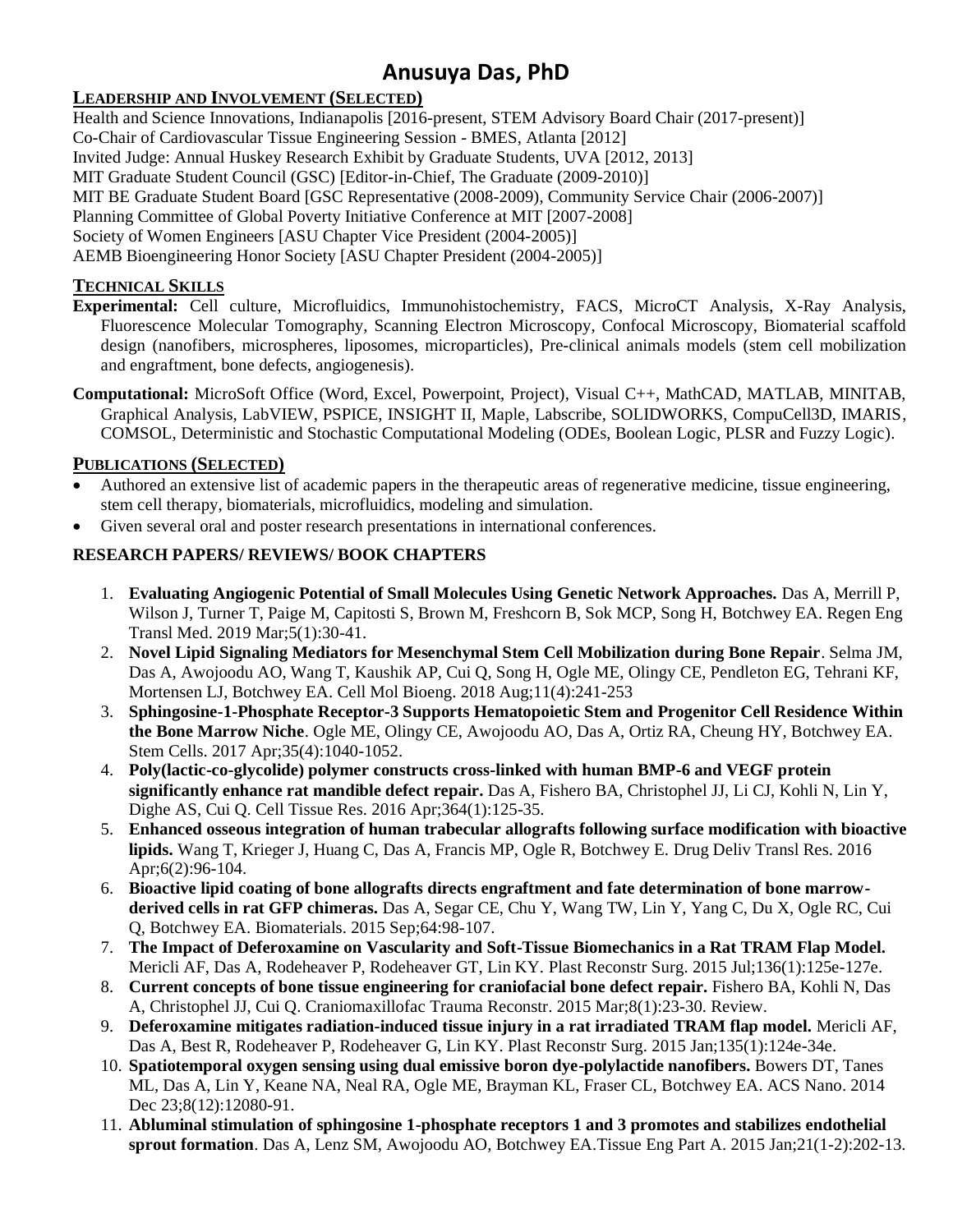#### **LEADERSHIP AND INVOLVEMENT (SELECTED)**

Health and Science Innovations, Indianapolis [2016-present, STEM Advisory Board Chair (2017-present)] Co-Chair of Cardiovascular Tissue Engineering Session - BMES, Atlanta [2012] Invited Judge: Annual Huskey Research Exhibit by Graduate Students, UVA [2012, 2013] MIT Graduate Student Council (GSC) [Editor-in-Chief, The Graduate (2009-2010)] MIT BE Graduate Student Board [GSC Representative (2008-2009), Community Service Chair (2006-2007)] Planning Committee of Global Poverty Initiative Conference at MIT [2007-2008] Society of Women Engineers [ASU Chapter Vice President (2004-2005)] AEMB Bioengineering Honor Society [ASU Chapter President (2004-2005)]

#### **TECHNICAL SKILLS**

- **Experimental:** Cell culture, Microfluidics, Immunohistochemistry, FACS, MicroCT Analysis, X-Ray Analysis, Fluorescence Molecular Tomography, Scanning Electron Microscopy, Confocal Microscopy, Biomaterial scaffold design (nanofibers, microspheres, liposomes, microparticles), Pre-clinical animals models (stem cell mobilization and engraftment, bone defects, angiogenesis).
- **Computational:** MicroSoft Office (Word, Excel, Powerpoint, Project), Visual C++, MathCAD, MATLAB, MINITAB, Graphical Analysis, LabVIEW, PSPICE, INSIGHT II, Maple, Labscribe, SOLIDWORKS, CompuCell3D, IMARIS, COMSOL, Deterministic and Stochastic Computational Modeling (ODEs, Boolean Logic, PLSR and Fuzzy Logic).

#### **PUBLICATIONS (SELECTED)**

- Authored an extensive list of academic papers in the therapeutic areas of regenerative medicine, tissue engineering, stem cell therapy, biomaterials, microfluidics, modeling and simulation.
- Given several oral and poster research presentations in international conferences.

#### **RESEARCH PAPERS/ REVIEWS/ BOOK CHAPTERS**

- 1. **Evaluating Angiogenic Potential of Small Molecules Using Genetic Network Approaches.** Das A, Merrill P, Wilson J, Turner T, Paige M, Capitosti S, Brown M, Freshcorn B, Sok MCP, Song H, Botchwey EA. Regen Eng Transl Med. 2019 Mar;5(1):30-41.
- 2. **Novel Lipid Signaling Mediators for Mesenchymal Stem Cell Mobilization during Bone Repair**. Selma JM, Das A, Awojoodu AO, Wang T, Kaushik AP, Cui Q, Song H, Ogle ME, Olingy CE, Pendleton EG, Tehrani KF, Mortensen LJ, Botchwey EA. Cell Mol Bioeng. 2018 Aug;11(4):241-253
- 3. **Sphingosine-1-Phosphate Receptor-3 Supports Hematopoietic Stem and Progenitor Cell Residence Within the Bone Marrow Niche**. Ogle ME, Olingy CE, Awojoodu AO, Das A, Ortiz RA, Cheung HY, Botchwey EA. Stem Cells. 2017 Apr;35(4):1040-1052.
- 4. **Poly(lactic-co-glycolide) polymer constructs cross-linked with human BMP-6 and VEGF protein significantly enhance rat mandible defect repair.** Das A, Fishero BA, Christophel JJ, Li CJ, Kohli N, Lin Y, Dighe AS, Cui Q. Cell Tissue Res. 2016 Apr;364(1):125-35.
- 5. **Enhanced osseous integration of human trabecular allografts following surface modification with bioactive lipids.** Wang T, Krieger J, Huang C, Das A, Francis MP, Ogle R, Botchwey E. Drug Deliv Transl Res. 2016 Apr;6(2):96-104.
- 6. **Bioactive lipid coating of bone allografts directs engraftment and fate determination of bone marrowderived cells in rat GFP chimeras.** Das A, Segar CE, Chu Y, Wang TW, Lin Y, Yang C, Du X, Ogle RC, Cui Q, Botchwey EA. Biomaterials. 2015 Sep;64:98-107.
- 7. **The Impact of Deferoxamine on Vascularity and Soft-Tissue Biomechanics in a Rat TRAM Flap Model.** Mericli AF, Das A, Rodeheaver P, Rodeheaver GT, Lin KY. Plast Reconstr Surg. 2015 Jul;136(1):125e-127e.
- 8. **Current concepts of bone tissue engineering for craniofacial bone defect repair.** Fishero BA, Kohli N, Das A, Christophel JJ, Cui Q. Craniomaxillofac Trauma Reconstr. 2015 Mar;8(1):23-30. Review.
- 9. **Deferoxamine mitigates radiation-induced tissue injury in a rat irradiated TRAM flap model.** Mericli AF, Das A, Best R, Rodeheaver P, Rodeheaver G, Lin KY. Plast Reconstr Surg. 2015 Jan;135(1):124e-34e.
- 10. **Spatiotemporal oxygen sensing using dual emissive boron dye-polylactide nanofibers.** Bowers DT, Tanes ML, Das A, Lin Y, Keane NA, Neal RA, Ogle ME, Brayman KL, Fraser CL, Botchwey EA. ACS Nano. 2014 Dec 23;8(12):12080-91.
- 11. **Abluminal stimulation of sphingosine 1-phosphate receptors 1 and 3 promotes and stabilizes endothelial sprout formation**. Das A, Lenz SM, Awojoodu AO, Botchwey EA.Tissue Eng Part A. 2015 Jan;21(1-2):202-13.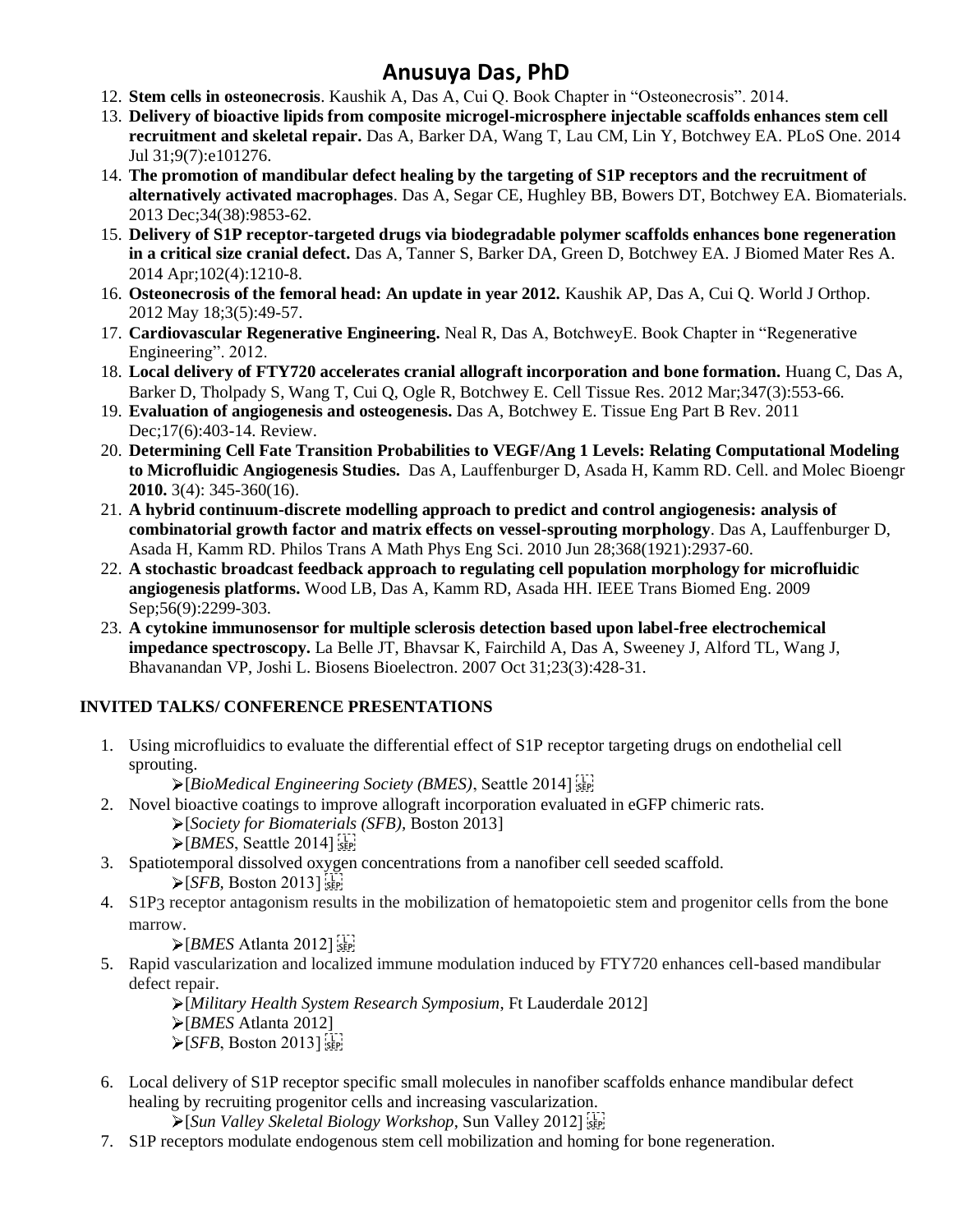- 12. **Stem cells in osteonecrosis**. Kaushik A, Das A, Cui Q. Book Chapter in "Osteonecrosis". 2014.
- 13. **Delivery of bioactive lipids from composite microgel-microsphere injectable scaffolds enhances stem cell recruitment and skeletal repair.** Das A, Barker DA, Wang T, Lau CM, Lin Y, Botchwey EA. PLoS One. 2014 Jul 31;9(7):e101276.
- 14. **The promotion of mandibular defect healing by the targeting of S1P receptors and the recruitment of alternatively activated macrophages**. Das A, Segar CE, Hughley BB, Bowers DT, Botchwey EA. Biomaterials. 2013 Dec;34(38):9853-62.
- 15. **Delivery of S1P receptor-targeted drugs via biodegradable polymer scaffolds enhances bone regeneration in a critical size cranial defect.** Das A, Tanner S, Barker DA, Green D, Botchwey EA. J Biomed Mater Res A. 2014 Apr;102(4):1210-8.
- 16. **Osteonecrosis of the femoral head: An update in year 2012.** Kaushik AP, Das A, Cui Q. World J Orthop. 2012 May 18;3(5):49-57.
- 17. **Cardiovascular Regenerative Engineering.** Neal R, Das A, BotchweyE. Book Chapter in "Regenerative Engineering". 2012.
- 18. **Local delivery of FTY720 accelerates cranial allograft incorporation and bone formation.** Huang C, Das A, Barker D, Tholpady S, Wang T, Cui Q, Ogle R, Botchwey E. Cell Tissue Res. 2012 Mar;347(3):553-66.
- 19. **Evaluation of angiogenesis and osteogenesis.** Das A, Botchwey E. Tissue Eng Part B Rev. 2011 Dec;17(6):403-14. Review.
- 20. **Determining Cell Fate Transition Probabilities to VEGF/Ang 1 Levels: Relating Computational Modeling to Microfluidic Angiogenesis Studies.** Das A, Lauffenburger D, Asada H, Kamm RD. Cell. and Molec Bioengr **2010.** 3(4): 345-360(16).
- 21. **A hybrid continuum-discrete modelling approach to predict and control angiogenesis: analysis of combinatorial growth factor and matrix effects on vessel-sprouting morphology**. Das A, Lauffenburger D, Asada H, Kamm RD. Philos Trans A Math Phys Eng Sci. 2010 Jun 28;368(1921):2937-60.
- 22. **A stochastic broadcast feedback approach to regulating cell population morphology for microfluidic angiogenesis platforms.** Wood LB, Das A, Kamm RD, Asada HH. IEEE Trans Biomed Eng. 2009 Sep; 56(9): 2299-303.
- 23. **A cytokine immunosensor for multiple sclerosis detection based upon label-free electrochemical impedance spectroscopy.** La Belle JT, Bhavsar K, Fairchild A, Das A, Sweeney J, Alford TL, Wang J, Bhavanandan VP, Joshi L. Biosens Bioelectron. 2007 Oct 31;23(3):428-31.

#### **INVITED TALKS/ CONFERENCE PRESENTATIONS**

- 1. Using microfluidics to evaluate the differential effect of S1P receptor targeting drugs on endothelial cell sprouting.
	- [*BioMedical Engineering Society (BMES)*, Seattle 2014]
- 2. Novel bioactive coatings to improve allograft incorporation evaluated in eGFP chimeric rats.
	- [*Society for Biomaterials (SFB),* Boston 2013]
	- $\triangleright$  [*BMES*, Seattle 2014]
- 3. Spatiotemporal dissolved oxygen concentrations from a nanofiber cell seeded scaffold.  $\triangleright$  [*SFB*, Boston 2013]
- 4. S1P3 receptor antagonism results in the mobilization of hematopoietic stem and progenitor cells from the bone marrow.

 $\triangleright$  [*BMES* Atlanta 2012]

5. Rapid vascularization and localized immune modulation induced by FTY720 enhances cell-based mandibular defect repair.

[*Military Health System Research Symposium*, Ft Lauderdale 2012]

- [*BMES* Atlanta 2012]
- $\triangleright$  [*SFB*, Boston 2013]
- 6. Local delivery of S1P receptor specific small molecules in nanofiber scaffolds enhance mandibular defect healing by recruiting progenitor cells and increasing vascularization.

[*Sun Valley Skeletal Biology Workshop*, Sun Valley 2012]

7. S1P receptors modulate endogenous stem cell mobilization and homing for bone regeneration.